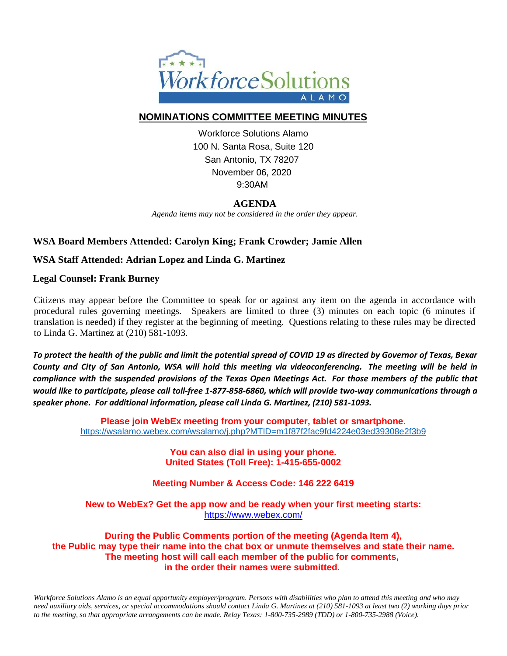

## **NOMINATIONS COMMITTEE MEETING MINUTES**

Workforce Solutions Alamo 100 N. Santa Rosa, Suite 120 San Antonio, TX 78207 November 06, 2020 9:30AM

# **AGENDA**

*Agenda items may not be considered in the order they appear.*

## **WSA Board Members Attended: Carolyn King; Frank Crowder; Jamie Allen**

### **WSA Staff Attended: Adrian Lopez and Linda G. Martinez**

#### **Legal Counsel: Frank Burney**

Citizens may appear before the Committee to speak for or against any item on the agenda in accordance with procedural rules governing meetings. Speakers are limited to three (3) minutes on each topic (6 minutes if translation is needed) if they register at the beginning of meeting. Questions relating to these rules may be directed to Linda G. Martinez at (210) 581-1093.

*To protect the health of the public and limit the potential spread of COVID 19 as directed by Governor of Texas, Bexar County and City of San Antonio, WSA will hold this meeting via videoconferencing. The meeting will be held in compliance with the suspended provisions of the Texas Open Meetings Act. For those members of the public that would like to participate, please call toll-free 1-877-858-6860, which will provide two-way communications through a speaker phone. For additional information, please call Linda G. Martinez, (210) 581-1093.*

> **Please join WebEx meeting from your computer, tablet or smartphone.**  <https://wsalamo.webex.com/wsalamo/j.php?MTID=m1f87f2fac9fd4224e03ed39308e2f3b9>

> > **You can also dial in using your phone. United States (Toll Free): 1-415-655-0002**

**Meeting Number & Access Code: 146 222 6419**

**New to WebEx? Get the app now and be ready when your first meeting starts:**  <https://www.webex.com/>

**During the Public Comments portion of the meeting (Agenda Item 4), the Public may type their name into the chat box or unmute themselves and state their name. The meeting host will call each member of the public for comments, in the order their names were submitted.**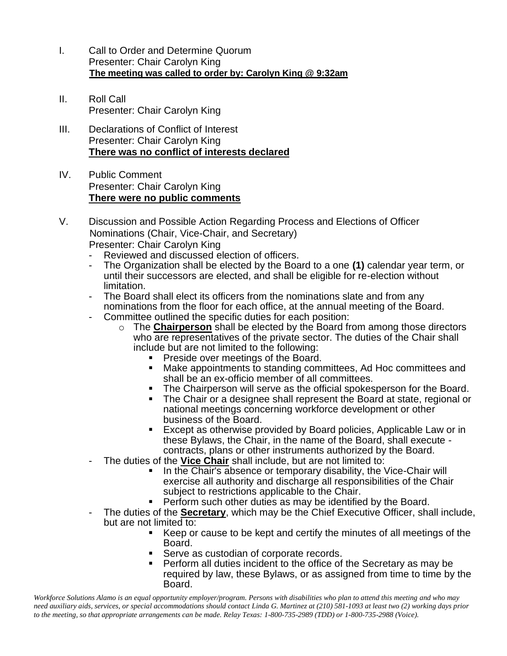- I. Call to Order and Determine Quorum Presenter: Chair Carolyn King  **The meeting was called to order by: Carolyn King @ 9:32am**
- II. Roll Call Presenter: Chair Carolyn King
- III. Declarations of Conflict of Interest Presenter: Chair Carolyn King **There was no conflict of interests declared**
- IV. Public Comment Presenter: Chair Carolyn King **There were no public comments**
- V. Discussion and Possible Action Regarding Process and Elections of Officer Nominations (Chair, Vice-Chair, and Secretary) Presenter: Chair Carolyn King
	- Reviewed and discussed election of officers.
	- The Organization shall be elected by the Board to a one **(1)** calendar year term, or until their successors are elected, and shall be eligible for re-election without limitation.
	- The Board shall elect its officers from the nominations slate and from any nominations from the floor for each office, at the annual meeting of the Board.
	- Committee outlined the specific duties for each position:
		- o The **Chairperson** shall be elected by the Board from among those directors who are representatives of the private sector. The duties of the Chair shall include but are not limited to the following:
			- Preside over meetings of the Board.
			- Make appointments to standing committees, Ad Hoc committees and shall be an ex-officio member of all committees.
			- The Chairperson will serve as the official spokesperson for the Board.<br>■ The Chair or a designee shall represent the Board at state, regional or
			- The Chair or a designee shall represent the Board at state, regional or national meetings concerning workforce development or other business of the Board.
			- Except as otherwise provided by Board policies, Applicable Law or in these Bylaws, the Chair, in the name of the Board, shall execute contracts, plans or other instruments authorized by the Board.
	- The duties of the **Vice Chair** shall include, but are not limited to:
		- In the Chair's absence or temporary disability, the Vice-Chair will exercise all authority and discharge all responsibilities of the Chair subject to restrictions applicable to the Chair.
		- Perform such other duties as may be identified by the Board.
	- The duties of the **Secretary**, which may be the Chief Executive Officer, shall include, but are not limited to:
		- Keep or cause to be kept and certify the minutes of all meetings of the Board.
		- Serve as custodian of corporate records.
		- Perform all duties incident to the office of the Secretary as may be required by law, these Bylaws, or as assigned from time to time by the Board.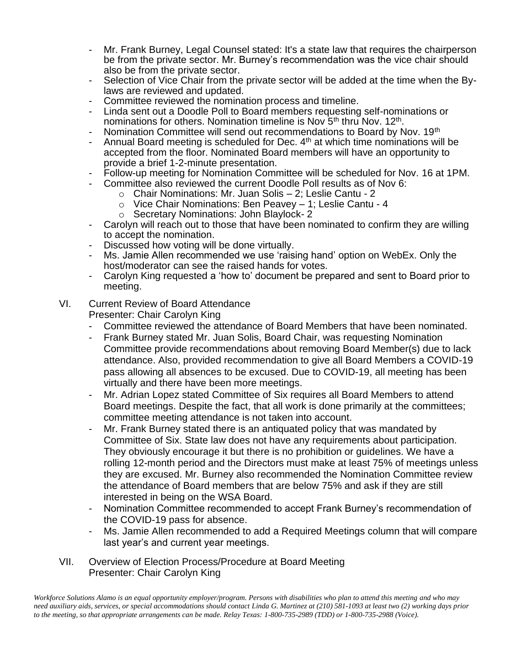- Mr. Frank Burney, Legal Counsel stated: It's a state law that requires the chairperson be from the private sector. Mr. Burney's recommendation was the vice chair should also be from the private sector.
- Selection of Vice Chair from the private sector will be added at the time when the Bylaws are reviewed and updated.
- Committee reviewed the nomination process and timeline.
- Linda sent out a Doodle Poll to Board members requesting self-nominations or nominations for others. Nomination timeline is Nov 5<sup>th</sup> thru Nov. 12<sup>th</sup>.
- Nomination Committee will send out recommendations to Board by Nov. 19th
- Annual Board meeting is scheduled for Dec.  $4<sup>th</sup>$  at which time nominations will be accepted from the floor. Nominated Board members will have an opportunity to provide a brief 1-2-minute presentation.
- Follow-up meeting for Nomination Committee will be scheduled for Nov. 16 at 1PM.
- Committee also reviewed the current Doodle Poll results as of Nov 6:
	- o Chair Nominations: Mr. Juan Solis 2; Leslie Cantu 2
	- o Vice Chair Nominations: Ben Peavey 1; Leslie Cantu 4
	- o Secretary Nominations: John Blaylock- 2
- Carolyn will reach out to those that have been nominated to confirm they are willing to accept the nomination.
- Discussed how voting will be done virtually.
- Ms. Jamie Allen recommended we use 'raising hand' option on WebEx. Only the host/moderator can see the raised hands for votes.
- Carolyn King requested a 'how to' document be prepared and sent to Board prior to meeting.

# VI. Current Review of Board Attendance

Presenter: Chair Carolyn King

- Committee reviewed the attendance of Board Members that have been nominated.
- Frank Burney stated Mr. Juan Solis, Board Chair, was requesting Nomination Committee provide recommendations about removing Board Member(s) due to lack attendance. Also, provided recommendation to give all Board Members a COVID-19 pass allowing all absences to be excused. Due to COVID-19, all meeting has been virtually and there have been more meetings.
- Mr. Adrian Lopez stated Committee of Six requires all Board Members to attend Board meetings. Despite the fact, that all work is done primarily at the committees; committee meeting attendance is not taken into account.
- Mr. Frank Burney stated there is an antiquated policy that was mandated by Committee of Six. State law does not have any requirements about participation. They obviously encourage it but there is no prohibition or guidelines. We have a rolling 12-month period and the Directors must make at least 75% of meetings unless they are excused. Mr. Burney also recommended the Nomination Committee review the attendance of Board members that are below 75% and ask if they are still interested in being on the WSA Board.
- Nomination Committee recommended to accept Frank Burney's recommendation of the COVID-19 pass for absence.
- Ms. Jamie Allen recommended to add a Required Meetings column that will compare last year's and current year meetings.
- VII. Overview of Election Process/Procedure at Board Meeting Presenter: Chair Carolyn King